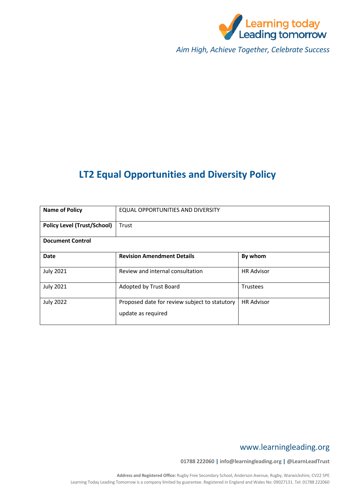

*Aim High, Achieve Together, Celebrate Success*

# **LT2 Equal Opportunities and Diversity Policy**

| <b>Name of Policy</b>              | EQUAL OPPORTUNITIES AND DIVERSITY                                   |                   |
|------------------------------------|---------------------------------------------------------------------|-------------------|
| <b>Policy Level (Trust/School)</b> | Trust                                                               |                   |
| <b>Document Control</b>            |                                                                     |                   |
| <b>Date</b>                        | <b>Revision Amendment Details</b>                                   | By whom           |
| <b>July 2021</b>                   | Review and internal consultation                                    | <b>HR Advisor</b> |
| <b>July 2021</b>                   | Adopted by Trust Board                                              | <b>Trustees</b>   |
| <b>July 2022</b>                   | Proposed date for review subject to statutory<br>update as required | <b>HR Advisor</b> |

# www.learningleading.org

**01788 222060 | info@learningleading.org | @LearnLeadTrust**

**Address and Registered Office:** Rugby Free Secondary School, Anderson Avenue, Rugby, Warwickshire, CV22 5PE Learning Today Leading Tomorrow is a company limited by guarantee. Registered in England and Wales No: 09027131. Tel: 01788 222060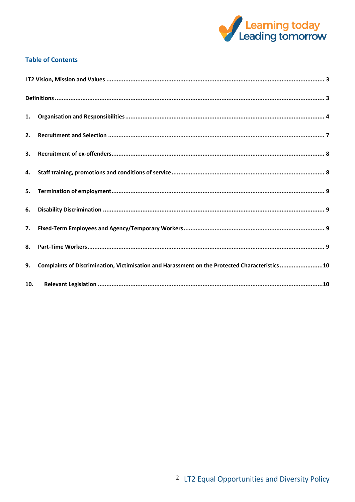

# **Table of Contents**

| 1.  |                                                                                                |
|-----|------------------------------------------------------------------------------------------------|
| 2.  |                                                                                                |
| 3.  |                                                                                                |
| 4.  |                                                                                                |
| 5.  |                                                                                                |
| 6.  |                                                                                                |
| 7.  |                                                                                                |
| 8.  |                                                                                                |
| 9.  | Complaints of Discrimination, Victimisation and Harassment on the Protected Characteristics 10 |
| 10. |                                                                                                |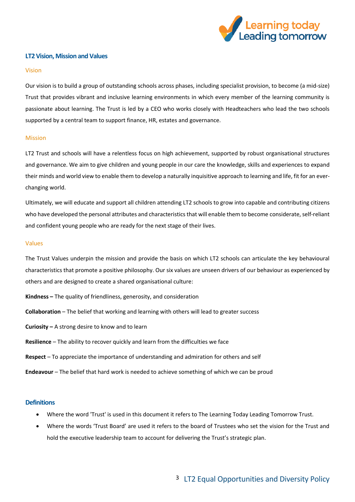

# <span id="page-2-0"></span>**LT2 Vision, Mission and Values**

#### Vision

Our vision is to build a group of outstanding schools across phases, including specialist provision, to become (a mid-size) Trust that provides vibrant and inclusive learning environments in which every member of the learning community is passionate about learning. The Trust is led by a CEO who works closely with Headteachers who lead the two schools supported by a central team to support finance, HR, estates and governance.

#### Mission

LT2 Trust and schools will have a relentless focus on high achievement, supported by robust organisational structures and governance. We aim to give children and young people in our care the knowledge, skills and experiences to expand their minds and world view to enable them to develop a naturally inquisitive approach to learning and life, fit for an everchanging world.

Ultimately, we will educate and support all children attending LT2 schools to grow into capable and contributing citizens who have developed the personal attributes and characteristics that will enable them to become considerate, self-reliant and confident young people who are ready for the next stage of their lives.

#### Values

The Trust Values underpin the mission and provide the basis on which LT2 schools can articulate the key behavioural characteristics that promote a positive philosophy. Our six values are unseen drivers of our behaviour as experienced by others and are designed to create a shared organisational culture:

- **Kindness –** The quality of friendliness, generosity, and consideration
- **Collaboration** The belief that working and learning with others will lead to greater success
- **Curiosity –** A strong desire to know and to learn
- **Resilience** The ability to recover quickly and learn from the difficulties we face
- **Respect** To appreciate the importance of understanding and admiration for others and self
- **Endeavour** The belief that hard work is needed to achieve something of which we can be proud

## <span id="page-2-1"></span>**Definitions**

- Where the word 'Trust' is used in this document it refers to The Learning Today Leading Tomorrow Trust.
- Where the words 'Trust Board' are used it refers to the board of Trustees who set the vision for the Trust and hold the executive leadership team to account for delivering the Trust's strategic plan.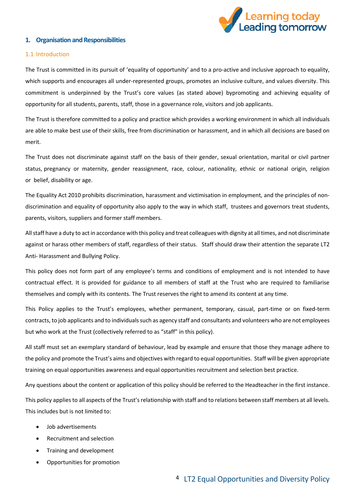

# <span id="page-3-0"></span>**1. Organisation and Responsibilities**

## 1.1 Introduction

The Trust is committed in its pursuit of 'equality of opportunity' and to a pro-active and inclusive approach to equality, which supports and encourages all under-represented groups, promotes an inclusive culture, and values diversity. This commitment is underpinned by the Trust's core values (as stated above) bypromoting and achieving equality of opportunity for all students, parents, staff, those in a governance role, visitors and job applicants.

The Trust is therefore committed to a policy and practice which provides a working environment in which all individuals are able to make best use of their skills, free from discrimination or harassment, and in which all decisions are based on merit.

The Trust does not discriminate against staff on the basis of their gender, sexual orientation, marital or civil partner status, pregnancy or maternity, gender reassignment, race, colour, nationality, ethnic or national origin, religion or belief, disability or age.

The Equality Act 2010 prohibits discrimination, harassment and victimisation in employment, and the principles of nondiscrimination and equality of opportunity also apply to the way in which staff, trustees and governors treat students, parents, visitors, suppliers and former staff members.

All staff have a duty to act in accordance with this policy and treat colleagues with dignity at all times, and not discriminate against or harass other members of staff, regardless of their status. Staff should draw their attention the separate LT2 Anti- Harassment and Bullying Policy.

This policy does not form part of any employee's terms and conditions of employment and is not intended to have contractual effect. It is provided for guidance to all members of staff at the Trust who are required to familiarise themselves and comply with its contents. The Trust reserves the right to amend its content at any time.

This Policy applies to the Trust's employees, whether permanent, temporary, casual, part-time or on fixed-term contracts, to job applicants and to individuals such as agency staff and consultants and volunteers who are not employees but who work at the Trust (collectively referred to as "staff" in this policy).

All staff must set an exemplary standard of behaviour, lead by example and ensure that those they manage adhere to the policy and promote the Trust's aims and objectives with regard to equal opportunities. Staff will be given appropriate training on equal opportunities awareness and equal opportunities recruitment and selection best practice.

Any questions about the content or application of this policy should be referred to the Headteacher in the first instance.

This policy applies to all aspects of the Trust's relationship with staff and to relations between staff members at all levels. This includes but is not limited to:

- Job advertisements
- Recruitment and selection
- Training and development
- Opportunities for promotion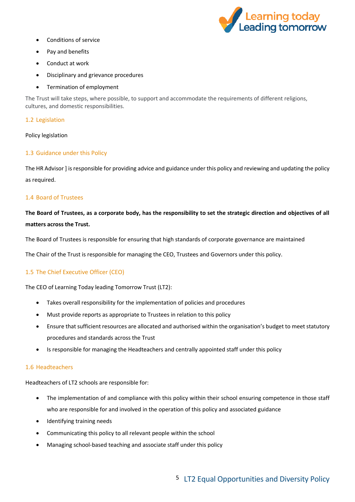

- Conditions of service
- Pay and benefits
- Conduct at work
- Disciplinary and grievance procedures
- Termination of employment

The Trust will take steps, where possible, to support and accommodate the requirements of different religions, cultures, and domestic responsibilities.

# 1.2 Legislation

## Policy legislation

# 1.3 Guidance under this Policy

The HR Advisor ] isresponsible for providing advice and guidance under this policy and reviewing and updating the policy as required.

# 1.4 Board of Trustees

# **The Board of Trustees, as a corporate body, has the responsibility to set the strategic direction and objectives of all matters across the Trust.**

The Board of Trustees is responsible for ensuring that high standards of corporate governance are maintained

The Chair of the Trust is responsible for managing the CEO, Trustees and Governors under this policy.

# 1.5 The Chief Executive Officer (CEO)

The CEO of Learning Today leading Tomorrow Trust (LT2):

- Takes overall responsibility for the implementation of policies and procedures
- Must provide reports as appropriate to Trustees in relation to this policy
- Ensure that sufficient resources are allocated and authorised within the organisation's budget to meet statutory procedures and standards across the Trust
- Is responsible for managing the Headteachers and centrally appointed staff under this policy

## 1.6 Headteachers

Headteachers of LT2 schools are responsible for:

- The implementation of and compliance with this policy within their school ensuring competence in those staff who are responsible for and involved in the operation of this policy and associated guidance
- Identifying training needs
- Communicating this policy to all relevant people within the school
- Managing school-based teaching and associate staff under this policy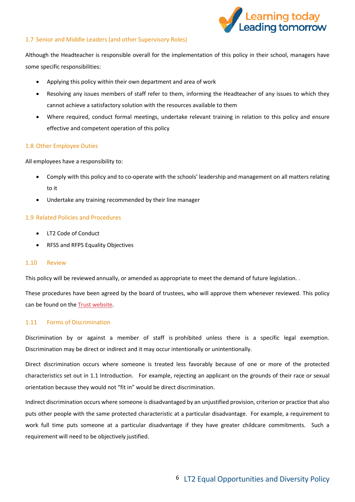

# 1.7 Senior and Middle Leaders (and other Supervisory Roles)

Although the Headteacher is responsible overall for the implementation of this policy in their school, managers have some specific responsibilities:

- Applying this policy within their own department and area of work
- Resolving any issues members of staff refer to them, informing the Headteacher of any issues to which they cannot achieve a satisfactory solution with the resources available to them
- Where required, conduct formal meetings, undertake relevant training in relation to this policy and ensure effective and competent operation of this policy

# 1.8 Other Employee Duties

All employees have a responsibility to:

- Comply with this policy and to co-operate with the schools' leadership and management on all matters relating to it
- Undertake any training recommended by their line manager

# 1.9 Related Policies and Procedures

- LT2 Code of Conduct
- RFSS and RFPS Equality Objectives

## 1.10 Review

This policy will be reviewed annually, or amended as appropriate to meet the demand of future legislation. .

These procedures have been agreed by the board of trustees, who will approve them whenever reviewed. This policy can be found on th[e Trust website.](http://www.learningleading.org/trust-policies-key-documents)

## 1.11 Forms of Discrimination

Discrimination by or against a member of staff is prohibited unless there is a specific legal exemption. Discrimination may be direct or indirect and it may occur intentionally or unintentionally.

Direct discrimination occurs where someone is treated less favorably because of one or more of the protected characteristics set out in 1.1 Introduction. For example, rejecting an applicant on the grounds of their race or sexual orientation because they would not "fit in" would be direct discrimination.

Indirect discrimination occurs where someone is disadvantaged by an unjustified provision, criterion or practice that also puts other people with the same protected characteristic at a particular disadvantage. For example, a requirement to work full time puts someone at a particular disadvantage if they have greater childcare commitments. Such a requirement will need to be objectively justified.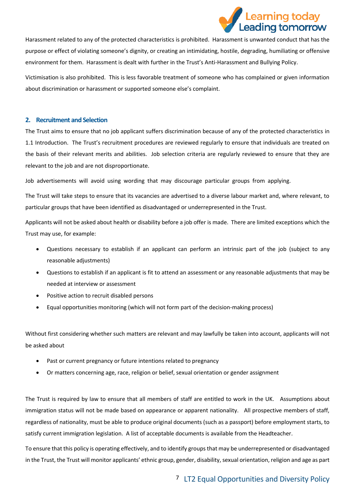

Harassment related to any of the protected characteristics is prohibited. Harassment is unwanted conduct that has the purpose or effect of violating someone's dignity, or creating an intimidating, hostile, degrading, humiliating or offensive environment for them. Harassment is dealt with further in the Trust's Anti-Harassment and Bullying Policy.

Victimisation is also prohibited. This is less favorable treatment of someone who has complained or given information about discrimination or harassment or supported someone else's complaint.

# <span id="page-6-0"></span>**2. Recruitment and Selection**

The Trust aims to ensure that no job applicant suffers discrimination because of any of the protected characteristics in 1.1 Introduction. The Trust's recruitment procedures are reviewed regularly to ensure that individuals are treated on the basis of their relevant merits and abilities. Job selection criteria are regularly reviewed to ensure that they are relevant to the job and are not disproportionate.

Job advertisements will avoid using wording that may discourage particular groups from applying.

The Trust will take steps to ensure that its vacancies are advertised to a diverse labour market and, where relevant, to particular groups that have been identified as disadvantaged or underrepresented in the Trust.

Applicants will not be asked about health or disability before a job offer is made. There are limited exceptions which the Trust may use, for example:

- Questions necessary to establish if an applicant can perform an intrinsic part of the job (subject to any reasonable adjustments)
- Questions to establish if an applicant is fit to attend an assessment or any reasonable adjustments that may be needed at interview or assessment
- Positive action to recruit disabled persons
- Equal opportunities monitoring (which will not form part of the decision-making process)

Without first considering whether such matters are relevant and may lawfully be taken into account, applicants will not be asked about

- Past or current pregnancy or future intentions related to pregnancy
- Or matters concerning age, race, religion or belief, sexual orientation or gender assignment

The Trust is required by law to ensure that all members of staff are entitled to work in the UK. Assumptions about immigration status will not be made based on appearance or apparent nationality. All prospective members of staff, regardless of nationality, must be able to produce original documents (such as a passport) before employment starts, to satisfy current immigration legislation. A list of acceptable documents is available from the Headteacher.

To ensure that this policy is operating effectively, and to identify groups that may be underrepresented or disadvantaged in the Trust, the Trust will monitor applicants' ethnic group, gender, disability, sexual orientation, religion and age as part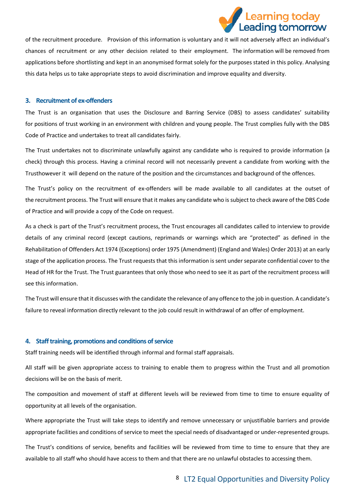

of the recruitment procedure. Provision of this information is voluntary and it will not adversely affect an individual's chances of recruitment or any other decision related to their employment. The information will be removed from applications before shortlisting and kept in an anonymised format solely for the purposes stated in this policy. Analysing this data helps us to take appropriate steps to avoid discrimination and improve equality and diversity.

## <span id="page-7-0"></span>**3. Recruitment of ex-offenders**

The Trust is an organisation that uses the Disclosure and Barring Service (DBS) to assess candidates' suitability for positions of trust working in an environment with children and young people. The Trust complies fully with the DBS Code of Practice and undertakes to treat all candidates fairly.

The Trust undertakes not to discriminate unlawfully against any candidate who is required to provide information (a check) through this process. Having a criminal record will not necessarily prevent a candidate from working with the Trusthowever it will depend on the nature of the position and the circumstances and background of the offences.

The Trust's policy on the recruitment of ex-offenders will be made available to all candidates at the outset of the recruitment process. The Trust will ensure that it makes any candidate who is subject to check aware of the DBS Code of Practice and will provide a copy of the Code on request.

As a check is part of the Trust's recruitment process, the Trust encourages all candidates called to interview to provide details of any criminal record (except cautions, reprimands or warnings which are "protected" as defined in the Rehabilitation of Offenders Act 1974 (Exceptions) order 1975 (Amendment) (England and Wales) Order 2013) at an early stage of the application process. The Trust requests that this information is sent under separate confidential cover to the Head of HR for the Trust. The Trust guarantees that only those who need to see it as part of the recruitment process will see this information.

The Trust will ensure that it discusses with the candidate the relevance of any offence to the job in question. A candidate's failure to reveal information directly relevant to the job could result in withdrawal of an offer of employment.

#### <span id="page-7-1"></span>**4. Staff training, promotions and conditions of service**

Staff training needs will be identified through informal and formal staff appraisals.

All staff will be given appropriate access to training to enable them to progress within the Trust and all promotion decisions will be on the basis of merit.

The composition and movement of staff at different levels will be reviewed from time to time to ensure equality of opportunity at all levels of the organisation.

Where appropriate the Trust will take steps to identify and remove unnecessary or unjustifiable barriers and provide appropriate facilities and conditions of service to meet the special needs of disadvantaged or under-represented groups.

The Trust's conditions of service, benefits and facilities will be reviewed from time to time to ensure that they are available to all staff who should have access to them and that there are no unlawful obstacles to accessing them.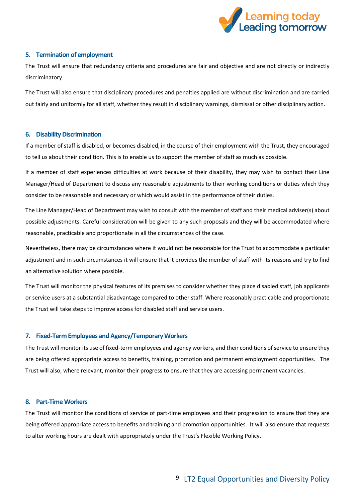

# <span id="page-8-0"></span>**5. Termination of employment**

The Trust will ensure that redundancy criteria and procedures are fair and objective and are not directly or indirectly discriminatory.

The Trust will also ensure that disciplinary procedures and penalties applied are without discrimination and are carried out fairly and uniformly for all staff, whether they result in disciplinary warnings, dismissal or other disciplinary action.

## <span id="page-8-1"></span>**6. Disability Discrimination**

If a member of staff is disabled, or becomes disabled, in the course of their employment with the Trust, they encouraged to tell us about their condition. This is to enable us to support the member of staff as much as possible.

If a member of staff experiences difficulties at work because of their disability, they may wish to contact their Line Manager/Head of Department to discuss any reasonable adjustments to their working conditions or duties which they consider to be reasonable and necessary or which would assist in the performance of their duties.

The Line Manager/Head of Department may wish to consult with the member of staff and their medical adviser(s) about possible adjustments. Careful consideration will be given to any such proposals and they will be accommodated where reasonable, practicable and proportionate in all the circumstances of the case.

Nevertheless, there may be circumstances where it would not be reasonable for the Trust to accommodate a particular adjustment and in such circumstances it will ensure that it provides the member of staff with its reasons and try to find an alternative solution where possible.

The Trust will monitor the physical features of its premises to consider whether they place disabled staff, job applicants or service users at a substantial disadvantage compared to other staff. Where reasonably practicable and proportionate the Trust will take steps to improve access for disabled staff and service users.

## <span id="page-8-2"></span>**7. Fixed-Term Employees and Agency/Temporary Workers**

The Trust will monitor its use of fixed-term employees and agency workers, and their conditions of service to ensure they are being offered appropriate access to benefits, training, promotion and permanent employment opportunities. The Trust will also, where relevant, monitor their progress to ensure that they are accessing permanent vacancies.

# <span id="page-8-3"></span>**8. Part-Time Workers**

The Trust will monitor the conditions of service of part-time employees and their progression to ensure that they are being offered appropriate access to benefits and training and promotion opportunities. It will also ensure that requests to alter working hours are dealt with appropriately under the Trust's Flexible Working Policy.